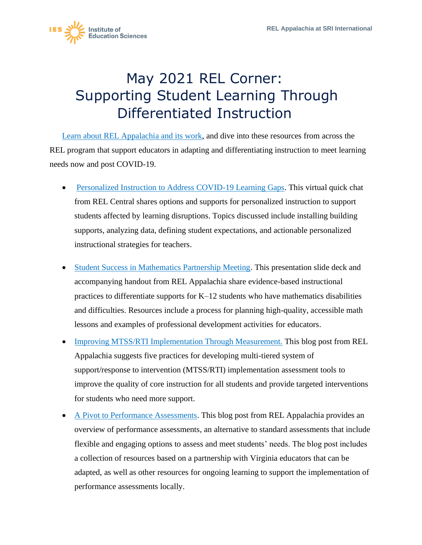

## May 2021 REL Corner: Supporting Student Learning Through Differentiated Instruction

[Learn about REL Appalachia and its work,](https://ies.ed.gov/ncee/edlabs/regions/appalachia/) and dive into these resources from across the REL program that support educators in adapting and differentiating instruction to meet learning needs now and post COVID-19.

- [Personalized Instruction to Address COVID-19 Learning Gaps.](https://ies.ed.gov/ncee/edlabs/regions/central/events/covid-learning-gaps-personalized.asp) This virtual quick chat from REL Central shares options and supports for personalized instruction to support students affected by learning disruptions. Topics discussed include installing building supports, analyzing data, defining student expectations, and actionable personalized instructional strategies for teachers.
- [Student Success in Mathematics Partnership Meeting.](https://ies.ed.gov/ncee/edlabs/regions/appalachia/events/event_03-03-20_student-success-partnership-meeting.asp) This presentation slide deck and accompanying handout from REL Appalachia share evidence-based instructional practices to differentiate supports for  $K-12$  students who have mathematics disabilities and difficulties. Resources include a process for planning high-quality, accessible math lessons and examples of professional development activities for educators.
- [Improving MTSS/RTI Implementation Through Measurement.](https://ies.ed.gov/ncee/edlabs/regions/appalachia/blogs/blog26_improving-MTSS-RTI-through-measurement.asp) This blog post from REL Appalachia suggests five practices for developing multi-tiered system of support/response to intervention (MTSS/RTI) implementation assessment tools to improve the quality of core instruction for all students and provide targeted interventions for students who need more support.
- [A Pivot to Performance Assessments.](https://ies.ed.gov/ncee/edlabs/regions/appalachia/blogs/blog36_pivot-to-performance-assessments.asp) This blog post from REL Appalachia provides an overview of performance assessments, an alternative to standard assessments that include flexible and engaging options to assess and meet students' needs. The blog post includes a collection of resources based on a partnership with Virginia educators that can be adapted, as well as other resources for ongoing learning to support the implementation of performance assessments locally.